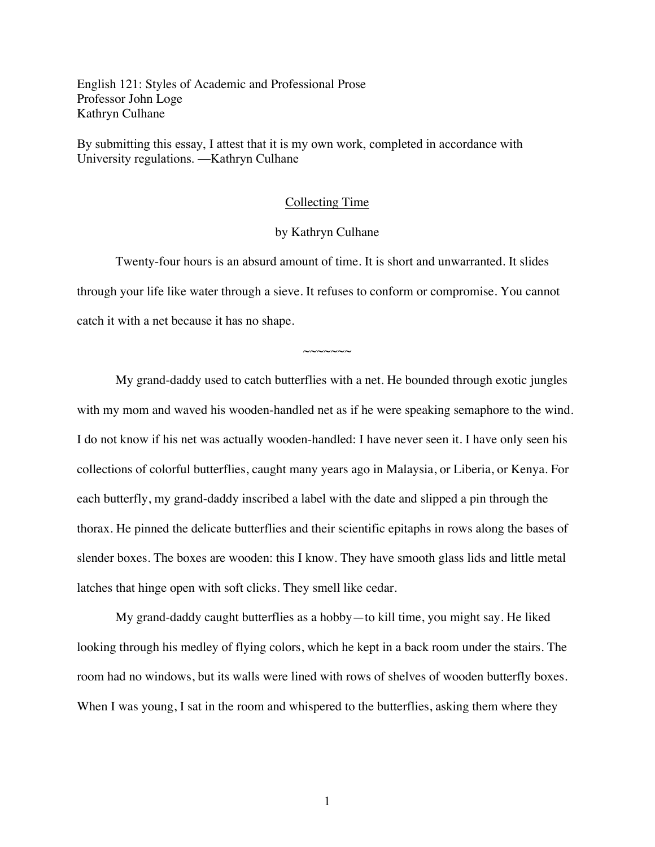English 121: Styles of Academic and Professional Prose Professor John Loge Kathryn Culhane

By submitting this essay, I attest that it is my own work, completed in accordance with University regulations. —Kathryn Culhane

## Collecting Time

## by Kathryn Culhane

Twenty-four hours is an absurd amount of time. It is short and unwarranted. It slides through your life like water through a sieve. It refuses to conform or compromise. You cannot catch it with a net because it has no shape.

 $\sim\sim\sim\sim\sim\sim$ 

My grand-daddy used to catch butterflies with a net. He bounded through exotic jungles with my mom and waved his wooden-handled net as if he were speaking semaphore to the wind. I do not know if his net was actually wooden-handled: I have never seen it. I have only seen his collections of colorful butterflies, caught many years ago in Malaysia, or Liberia, or Kenya. For each butterfly, my grand-daddy inscribed a label with the date and slipped a pin through the thorax. He pinned the delicate butterflies and their scientific epitaphs in rows along the bases of slender boxes*.* The boxes are wooden: this I know. They have smooth glass lids and little metal latches that hinge open with soft clicks. They smell like cedar.

My grand-daddy caught butterflies as a hobby—to kill time, you might say. He liked looking through his medley of flying colors, which he kept in a back room under the stairs. The room had no windows, but its walls were lined with rows of shelves of wooden butterfly boxes. When I was young, I sat in the room and whispered to the butterflies, asking them where they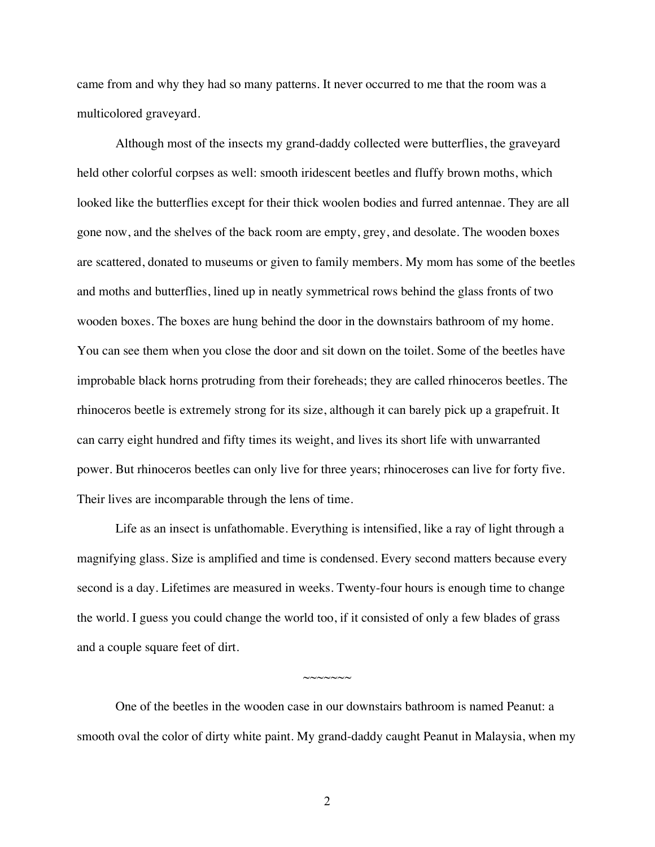came from and why they had so many patterns. It never occurred to me that the room was a multicolored graveyard.

Although most of the insects my grand-daddy collected were butterflies, the graveyard held other colorful corpses as well: smooth iridescent beetles and fluffy brown moths, which looked like the butterflies except for their thick woolen bodies and furred antennae. They are all gone now, and the shelves of the back room are empty, grey, and desolate. The wooden boxes are scattered, donated to museums or given to family members. My mom has some of the beetles and moths and butterflies, lined up in neatly symmetrical rows behind the glass fronts of two wooden boxes. The boxes are hung behind the door in the downstairs bathroom of my home. You can see them when you close the door and sit down on the toilet. Some of the beetles have improbable black horns protruding from their foreheads; they are called rhinoceros beetles. The rhinoceros beetle is extremely strong for its size, although it can barely pick up a grapefruit. It can carry eight hundred and fifty times its weight, and lives its short life with unwarranted power. But rhinoceros beetles can only live for three years; rhinoceroses can live for forty five. Their lives are incomparable through the lens of time.

Life as an insect is unfathomable. Everything is intensified, like a ray of light through a magnifying glass. Size is amplified and time is condensed. Every second matters because every second is a day. Lifetimes are measured in weeks. Twenty-four hours is enough time to change the world. I guess you could change the world too, if it consisted of only a few blades of grass and a couple square feet of dirt.

One of the beetles in the wooden case in our downstairs bathroom is named Peanut: a smooth oval the color of dirty white paint. My grand-daddy caught Peanut in Malaysia, when my

 $\sim$  $\sim$  $\sim$  $\sim$  $\sim$  $\sim$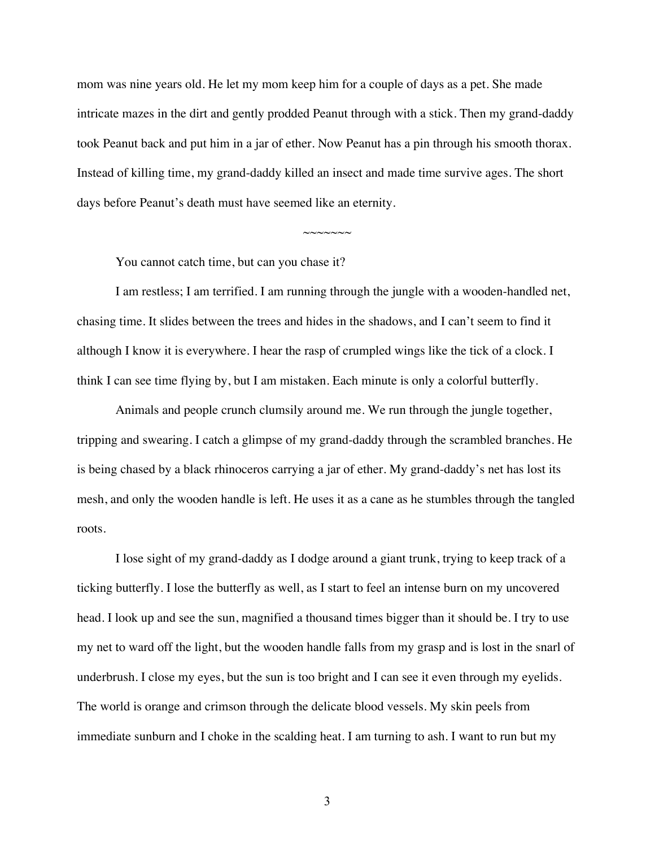mom was nine years old. He let my mom keep him for a couple of days as a pet. She made intricate mazes in the dirt and gently prodded Peanut through with a stick. Then my grand-daddy took Peanut back and put him in a jar of ether. Now Peanut has a pin through his smooth thorax. Instead of killing time, my grand-daddy killed an insect and made time survive ages. The short days before Peanut's death must have seemed like an eternity.

 $~\sim$  $\sim$  $\sim$  $\sim$  $\sim$ 

You cannot catch time, but can you chase it?

I am restless; I am terrified. I am running through the jungle with a wooden-handled net, chasing time. It slides between the trees and hides in the shadows, and I can't seem to find it although I know it is everywhere. I hear the rasp of crumpled wings like the tick of a clock. I think I can see time flying by, but I am mistaken. Each minute is only a colorful butterfly.

Animals and people crunch clumsily around me. We run through the jungle together, tripping and swearing. I catch a glimpse of my grand-daddy through the scrambled branches. He is being chased by a black rhinoceros carrying a jar of ether. My grand-daddy's net has lost its mesh, and only the wooden handle is left. He uses it as a cane as he stumbles through the tangled roots.

I lose sight of my grand-daddy as I dodge around a giant trunk, trying to keep track of a ticking butterfly. I lose the butterfly as well, as I start to feel an intense burn on my uncovered head. I look up and see the sun, magnified a thousand times bigger than it should be. I try to use my net to ward off the light, but the wooden handle falls from my grasp and is lost in the snarl of underbrush. I close my eyes, but the sun is too bright and I can see it even through my eyelids. The world is orange and crimson through the delicate blood vessels. My skin peels from immediate sunburn and I choke in the scalding heat. I am turning to ash. I want to run but my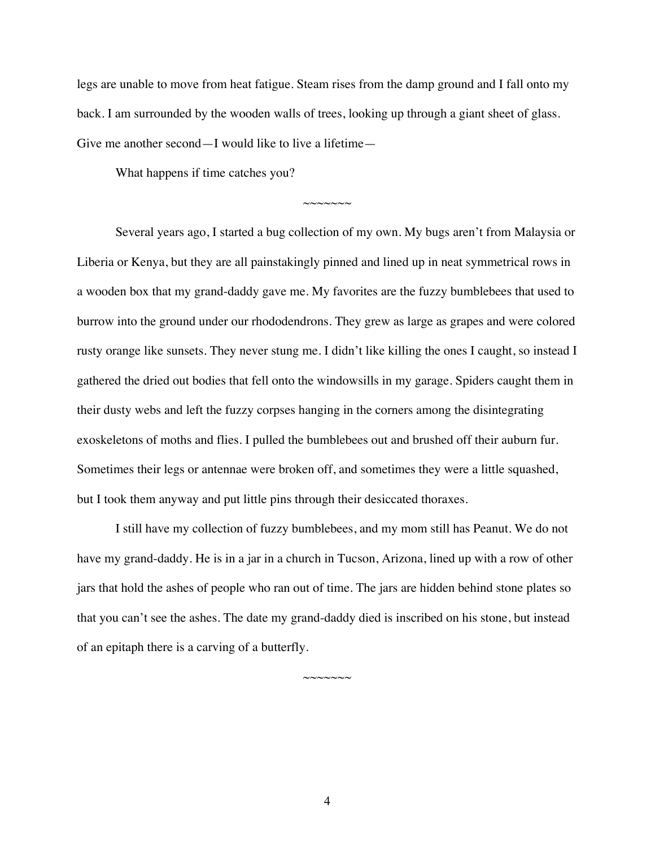legs are unable to move from heat fatigue. Steam rises from the damp ground and I fall onto my back. I am surrounded by the wooden walls of trees, looking up through a giant sheet of glass. Give me another second—I would like to live a lifetime—

 $\sim$  $\sim$  $\sim$  $\sim$  $\sim$  $\sim$ 

What happens if time catches you?

Several years ago, I started a bug collection of my own. My bugs aren't from Malaysia or Liberia or Kenya, but they are all painstakingly pinned and lined up in neat symmetrical rows in a wooden box that my grand-daddy gave me. My favorites are the fuzzy bumblebees that used to burrow into the ground under our rhododendrons. They grew as large as grapes and were colored rusty orange like sunsets. They never stung me. I didn't like killing the ones I caught, so instead I gathered the dried out bodies that fell onto the windowsills in my garage. Spiders caught them in their dusty webs and left the fuzzy corpses hanging in the corners among the disintegrating exoskeletons of moths and flies. I pulled the bumblebees out and brushed off their auburn fur. Sometimes their legs or antennae were broken off, and sometimes they were a little squashed, but I took them anyway and put little pins through their desiccated thoraxes.

I still have my collection of fuzzy bumblebees, and my mom still has Peanut. We do not have my grand-daddy. He is in a jar in a church in Tucson, Arizona, lined up with a row of other jars that hold the ashes of people who ran out of time. The jars are hidden behind stone plates so that you can't see the ashes. The date my grand-daddy died is inscribed on his stone, but instead of an epitaph there is a carving of a butterfly.

 $\sim$  $\sim$  $\sim$  $\sim$  $\sim$  $\sim$